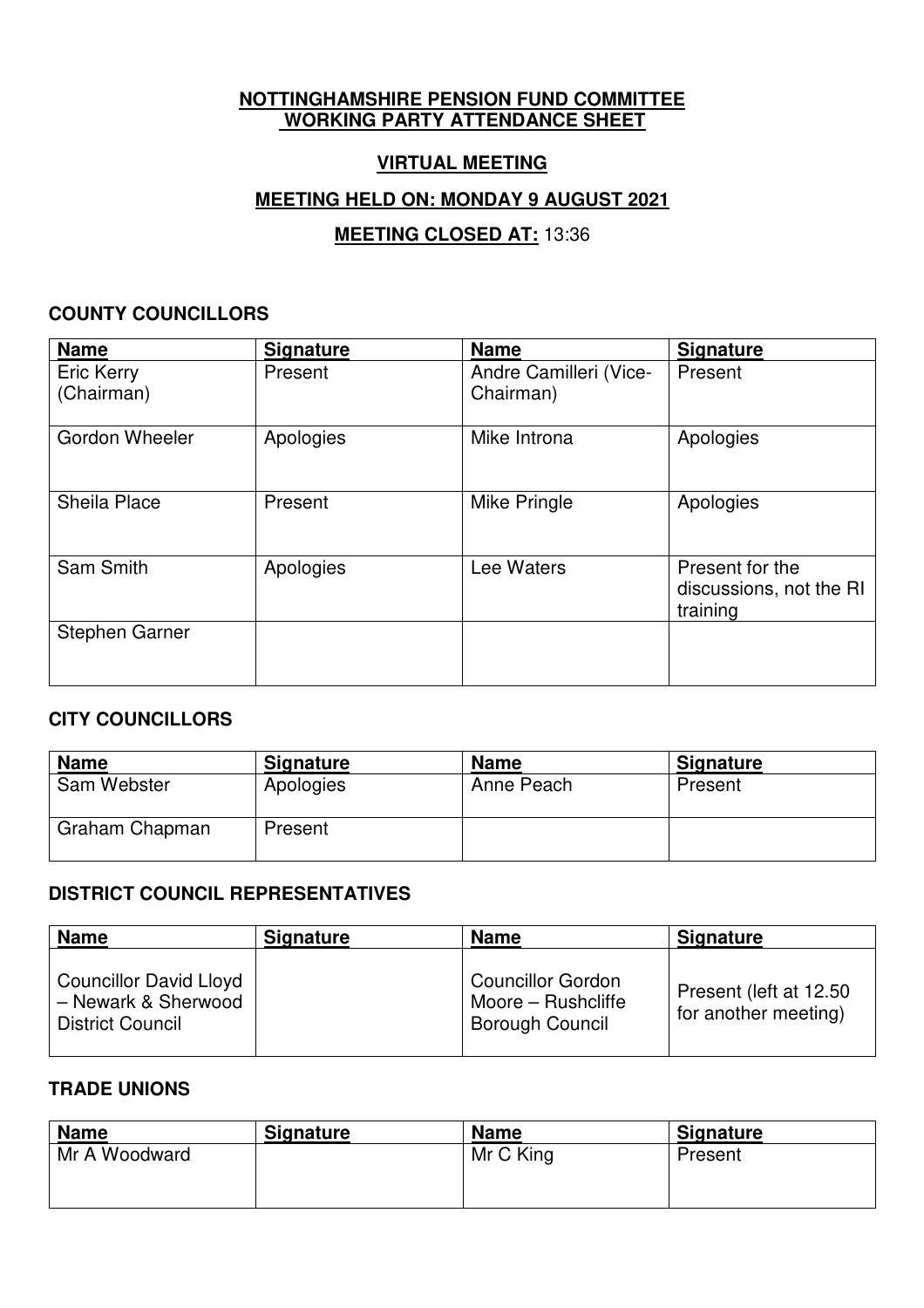## **NOTTINGHAMSHIRE PENSION FUND COMMITTEE WORKING PARTY ATTENDANCE SHEET**

# **VIRTUAL MEETING**

# **MEETING HELD ON: MONDAY 9 AUGUST 2021**

# **MEETING CLOSED AT:** 13:36

#### **COUNTY COUNCILLORS**

| <b>Name</b>                     | <b>Signature</b> | <b>Name</b>                         | <b>Signature</b>                                       |
|---------------------------------|------------------|-------------------------------------|--------------------------------------------------------|
| <b>Eric Kerry</b><br>(Chairman) | Present          | Andre Camilleri (Vice-<br>Chairman) | Present                                                |
| <b>Gordon Wheeler</b>           | Apologies        | Mike Introna                        | Apologies                                              |
| <b>Sheila Place</b>             | Present          | Mike Pringle                        | Apologies                                              |
| Sam Smith                       | Apologies        | Lee Waters                          | Present for the<br>discussions, not the RI<br>training |
| <b>Stephen Garner</b>           |                  |                                     |                                                        |

### **CITY COUNCILLORS**

| <b>Name</b>    | <b>Signature</b> | <b>Name</b> | <b>Signature</b> |
|----------------|------------------|-------------|------------------|
| Sam Webster    | Apologies        | Anne Peach  | Present          |
| Graham Chapman | Present          |             |                  |

# **DISTRICT COUNCIL REPRESENTATIVES**

| <b>Name</b>                                                                     | <b>Signature</b> | <b>Name</b>                                                              | <b>Signature</b>                                |
|---------------------------------------------------------------------------------|------------------|--------------------------------------------------------------------------|-------------------------------------------------|
| <b>Councillor David Lloyd</b><br>- Newark & Sherwood<br><b>District Council</b> |                  | <b>Councillor Gordon</b><br>Moore – Rushcliffe<br><b>Borough Council</b> | Present (left at 12.50)<br>for another meeting) |

#### **TRADE UNIONS**

| <b>Name</b>   | <b>Signature</b> | <b>Name</b> | <b>Signature</b> |
|---------------|------------------|-------------|------------------|
| Mr A Woodward |                  | Mr C King   | Present          |
|               |                  |             |                  |
|               |                  |             |                  |